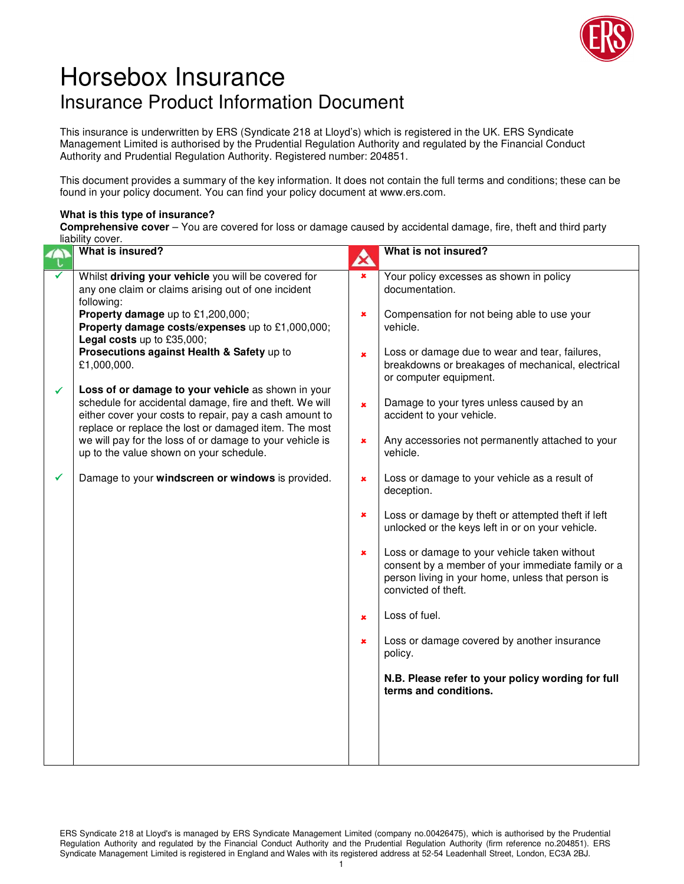

## Horsebox Insurance Insurance Product Information Document

This insurance is underwritten by ERS (Syndicate 218 at Lloyd's) which is registered in the UK. ERS Syndicate Management Limited is authorised by the Prudential Regulation Authority and regulated by the Financial Conduct Authority and Prudential Regulation Authority. Registered number: 204851.

This document provides a summary of the key information. It does not contain the full terms and conditions; these can be found in your policy document. You can find your policy document at www.ers.com.

## **What is this type of insurance?**

**Comprehensive cover** – You are covered for loss or damage caused by accidental damage, fire, theft and third party liability cover.

|   | What is insured?                                                                                                                                                                                                                  | A              | What is not insured?                                                                                                                                                          |
|---|-----------------------------------------------------------------------------------------------------------------------------------------------------------------------------------------------------------------------------------|----------------|-------------------------------------------------------------------------------------------------------------------------------------------------------------------------------|
|   | Whilst driving your vehicle you will be covered for<br>any one claim or claims arising out of one incident<br>following:                                                                                                          | $\pmb{\times}$ | Your policy excesses as shown in policy<br>documentation.                                                                                                                     |
|   | Property damage up to £1,200,000;<br>Property damage costs/expenses up to £1,000,000;<br>Legal costs up to £35,000;                                                                                                               | $\pmb{\times}$ | Compensation for not being able to use your<br>vehicle.                                                                                                                       |
|   | Prosecutions against Health & Safety up to<br>£1,000,000.                                                                                                                                                                         | $\pmb{\times}$ | Loss or damage due to wear and tear, failures,<br>breakdowns or breakages of mechanical, electrical<br>or computer equipment.                                                 |
| ✓ | Loss of or damage to your vehicle as shown in your<br>schedule for accidental damage, fire and theft. We will<br>either cover your costs to repair, pay a cash amount to<br>replace or replace the lost or damaged item. The most | $\pmb{\times}$ | Damage to your tyres unless caused by an<br>accident to your vehicle.                                                                                                         |
|   | we will pay for the loss of or damage to your vehicle is<br>up to the value shown on your schedule.                                                                                                                               | ×              | Any accessories not permanently attached to your<br>vehicle.                                                                                                                  |
| ✓ | Damage to your windscreen or windows is provided.                                                                                                                                                                                 | $\pmb{\times}$ | Loss or damage to your vehicle as a result of<br>deception.                                                                                                                   |
|   |                                                                                                                                                                                                                                   | $\pmb{\times}$ | Loss or damage by theft or attempted theft if left<br>unlocked or the keys left in or on your vehicle.                                                                        |
|   |                                                                                                                                                                                                                                   | $\pmb{\times}$ | Loss or damage to your vehicle taken without<br>consent by a member of your immediate family or a<br>person living in your home, unless that person is<br>convicted of theft. |
|   |                                                                                                                                                                                                                                   | $\pmb{\times}$ | Loss of fuel.                                                                                                                                                                 |
|   |                                                                                                                                                                                                                                   | ×              | Loss or damage covered by another insurance<br>policy.                                                                                                                        |
|   |                                                                                                                                                                                                                                   |                | N.B. Please refer to your policy wording for full<br>terms and conditions.                                                                                                    |
|   |                                                                                                                                                                                                                                   |                |                                                                                                                                                                               |
|   |                                                                                                                                                                                                                                   |                |                                                                                                                                                                               |